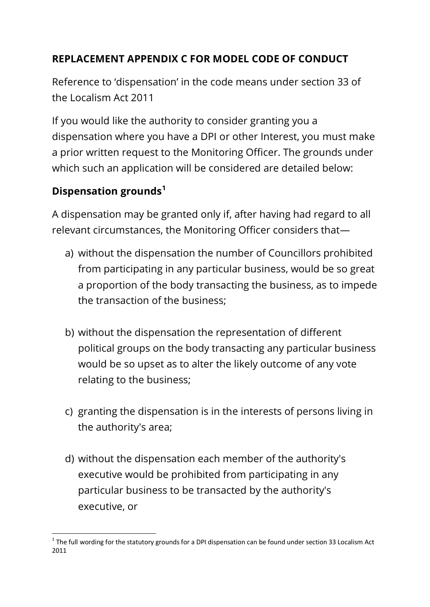## **REPLACEMENT APPENDIX C FOR MODEL CODE OF CONDUCT**

Reference to 'dispensation' in the code means under section 33 of the Localism Act 2011

If you would like the authority to consider granting you a dispensation where you have a DPI or other Interest, you must make a prior written request to the Monitoring Officer. The grounds under which such an application will be considered are detailed below:

## **Dispensation grounds<sup>1</sup>**

A dispensation may be granted only if, after having had regard to all relevant circumstances, the Monitoring Officer considers that—

- a) without the dispensation the number of Councillors prohibited from participating in any particular business, would be so great a proportion of the body transacting the business, as to impede the transaction of the business;
- b) without the dispensation the representation of different political groups on the body transacting any particular business would be so upset as to alter the likely outcome of any vote relating to the business;
- c) granting the dispensation is in the interests of persons living in the authority's area;
- d) without the dispensation each member of the authority's executive would be prohibited from participating in any particular business to be transacted by the authority's executive, or

<sup>1</sup>  $1$  The full wording for the statutory grounds for a DPI dispensation can be found under section 33 Localism Act 2011